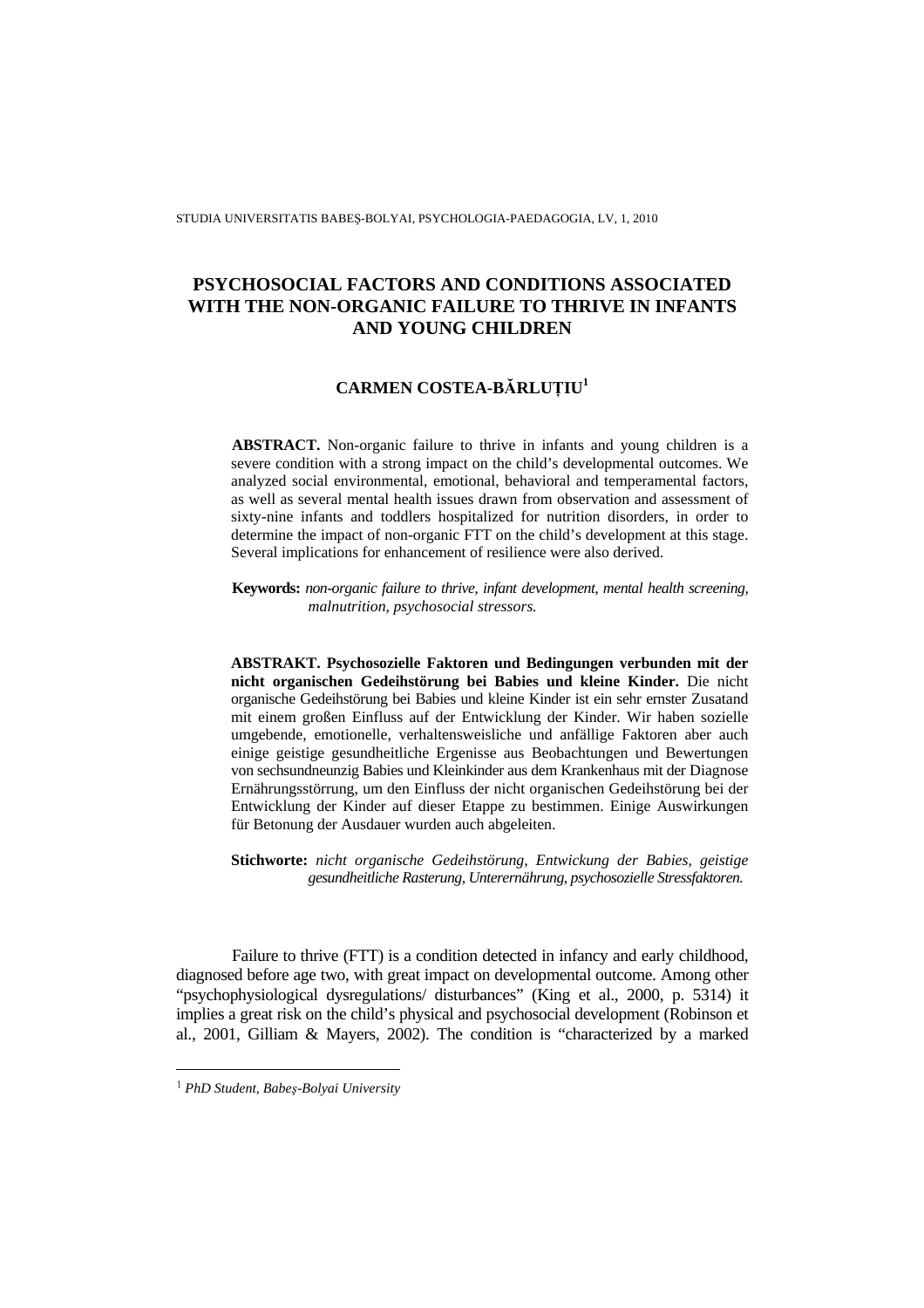STUDIA UNIVERSITATIS BABEŞ-BOLYAI, PSYCHOLOGIA-PAEDAGOGIA, LV, 1, 2010

# **PSYCHOSOCIAL FACTORS AND CONDITIONS ASSOCIATED WITH THE NON-ORGANIC FAILURE TO THRIVE IN INFANTS AND YOUNG CHILDREN**

# **CARMEN COSTEA-B**Ă**RLU**ł**IU<sup>1</sup>**

**ABSTRACT.** Non-organic failure to thrive in infants and young children is a severe condition with a strong impact on the child's developmental outcomes. We analyzed social environmental, emotional, behavioral and temperamental factors, as well as several mental health issues drawn from observation and assessment of sixty-nine infants and toddlers hospitalized for nutrition disorders, in order to determine the impact of non-organic FTT on the child's development at this stage. Several implications for enhancement of resilience were also derived.

**Keywords:** *non-organic failure to thrive, infant development, mental health screening, malnutrition, psychosocial stressors.* 

**ABSTRAKT. Psychosozielle Faktoren und Bedingungen verbunden mit der nicht organischen Gedeihstörung bei Babies und kleine Kinder.** Die nicht organische Gedeihstörung bei Babies und kleine Kinder ist ein sehr ernster Zusatand mit einem großen Einfluss auf der Entwicklung der Kinder. Wir haben sozielle umgebende, emotionelle, verhaltensweisliche und anfällige Faktoren aber auch einige geistige gesundheitliche Ergenisse aus Beobachtungen und Bewertungen von sechsundneunzig Babies und Kleinkinder aus dem Krankenhaus mit der Diagnose Ernährungsstörrung, um den Einfluss der nicht organischen Gedeihstörung bei der Entwicklung der Kinder auf dieser Etappe zu bestimmen. Einige Auswirkungen für Betonung der Ausdauer wurden auch abgeleiten.

**Stichworte:** *nicht organische Gedeihstörung, Entwickung der Babies, geistige gesundheitliche Rasterung, Unterernährung, psychosozielle Stressfaktoren.* 

Failure to thrive (FTT) is a condition detected in infancy and early childhood, diagnosed before age two, with great impact on developmental outcome. Among other "psychophysiological dysregulations/ disturbances" (King et al., 2000, p. 5314) it implies a great risk on the child's physical and psychosocial development (Robinson et al., 2001, Gilliam & Mayers, 2002). The condition is "characterized by a marked

<sup>1</sup> *PhD Student, Babe*ş*-Bolyai University*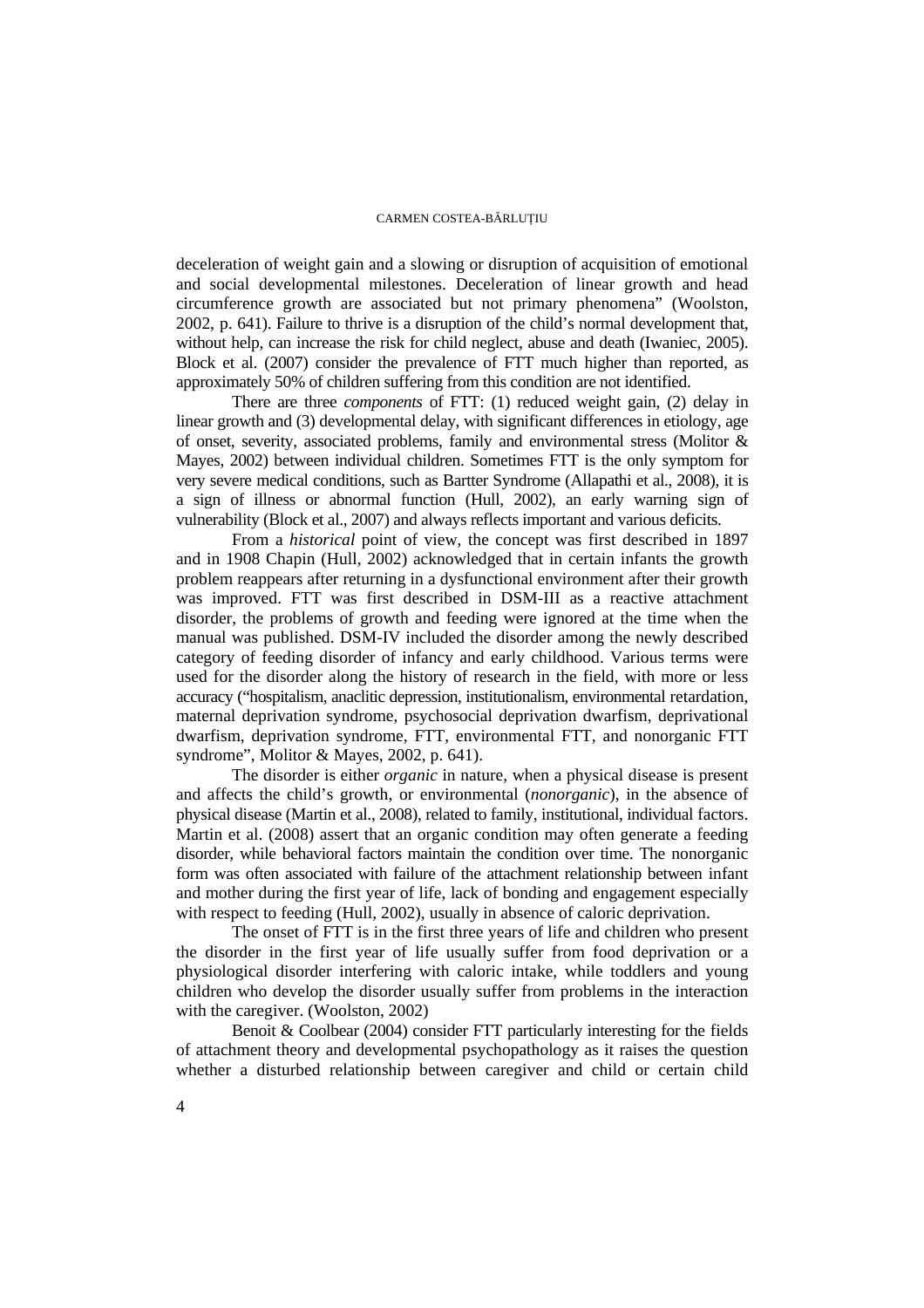deceleration of weight gain and a slowing or disruption of acquisition of emotional and social developmental milestones. Deceleration of linear growth and head circumference growth are associated but not primary phenomena" (Woolston, 2002, p. 641). Failure to thrive is a disruption of the child's normal development that, without help, can increase the risk for child neglect, abuse and death (Iwaniec, 2005). Block et al. (2007) consider the prevalence of FTT much higher than reported, as approximately 50% of children suffering from this condition are not identified.

There are three *components* of FTT: (1) reduced weight gain, (2) delay in linear growth and (3) developmental delay, with significant differences in etiology, age of onset, severity, associated problems, family and environmental stress (Molitor & Mayes, 2002) between individual children. Sometimes FTT is the only symptom for very severe medical conditions, such as Bartter Syndrome (Allapathi et al., 2008), it is a sign of illness or abnormal function (Hull, 2002), an early warning sign of vulnerability (Block et al., 2007) and always reflects important and various deficits.

From a *historical* point of view, the concept was first described in 1897 and in 1908 Chapin (Hull, 2002) acknowledged that in certain infants the growth problem reappears after returning in a dysfunctional environment after their growth was improved. FTT was first described in DSM-III as a reactive attachment disorder, the problems of growth and feeding were ignored at the time when the manual was published. DSM-IV included the disorder among the newly described category of feeding disorder of infancy and early childhood. Various terms were used for the disorder along the history of research in the field, with more or less accuracy ("hospitalism, anaclitic depression, institutionalism, environmental retardation, maternal deprivation syndrome, psychosocial deprivation dwarfism, deprivational dwarfism, deprivation syndrome, FTT, environmental FTT, and nonorganic FTT syndrome", Molitor & Mayes, 2002, p. 641).

The disorder is either *organic* in nature, when a physical disease is present and affects the child's growth, or environmental (*nonorganic*), in the absence of physical disease (Martin et al., 2008), related to family, institutional, individual factors. Martin et al. (2008) assert that an organic condition may often generate a feeding disorder, while behavioral factors maintain the condition over time. The nonorganic form was often associated with failure of the attachment relationship between infant and mother during the first year of life, lack of bonding and engagement especially with respect to feeding (Hull, 2002), usually in absence of caloric deprivation.

The onset of FTT is in the first three years of life and children who present the disorder in the first year of life usually suffer from food deprivation or a physiological disorder interfering with caloric intake, while toddlers and young children who develop the disorder usually suffer from problems in the interaction with the caregiver. (Woolston, 2002)

Benoit  $& \text{Coolbear} (2004) \text{ consider} \text{FTT particularly interesting for the fields}$ of attachment theory and developmental psychopathology as it raises the question whether a disturbed relationship between caregiver and child or certain child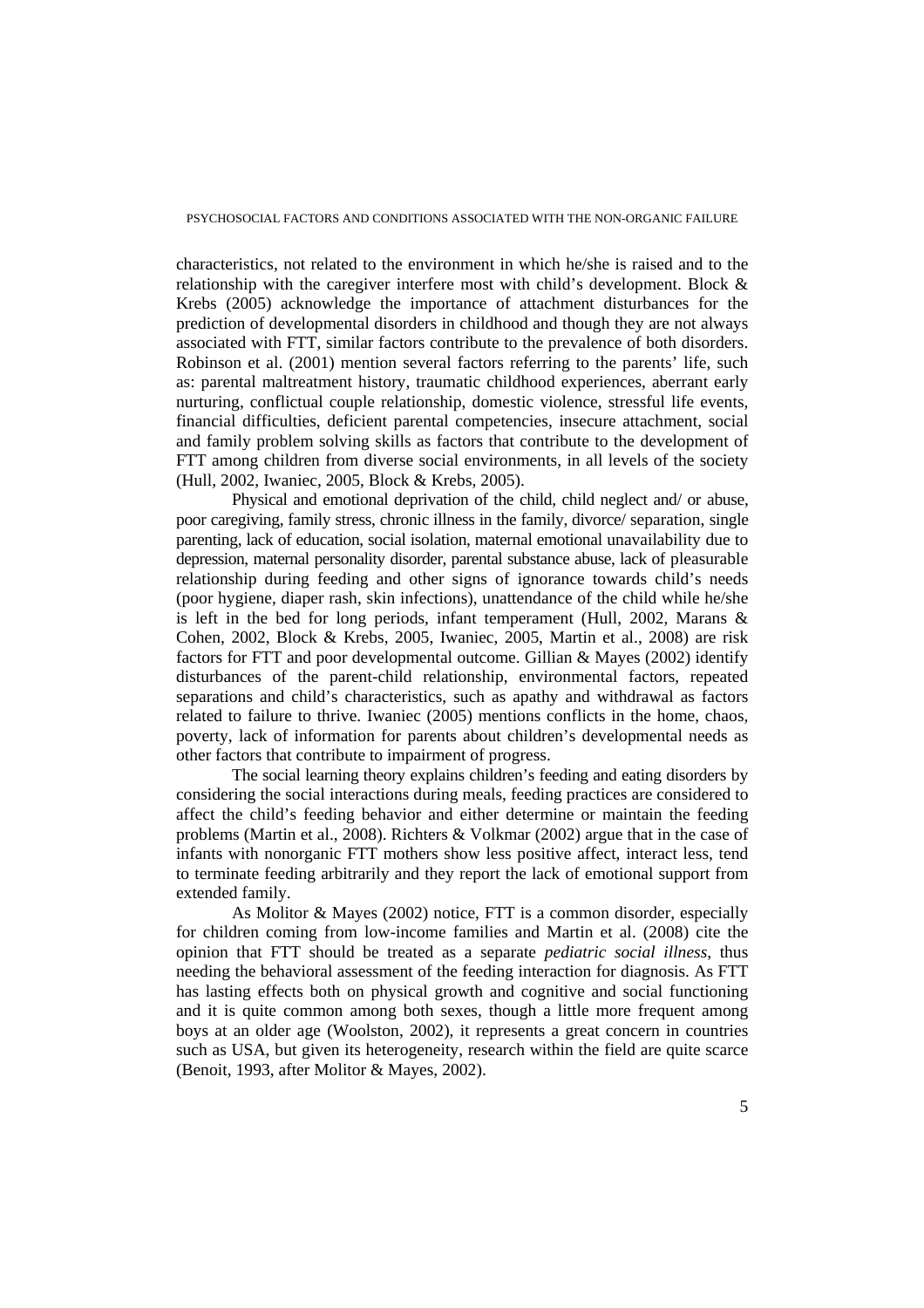characteristics, not related to the environment in which he/she is raised and to the relationship with the caregiver interfere most with child's development. Block & Krebs (2005) acknowledge the importance of attachment disturbances for the prediction of developmental disorders in childhood and though they are not always associated with FTT, similar factors contribute to the prevalence of both disorders. Robinson et al. (2001) mention several factors referring to the parents' life, such as: parental maltreatment history, traumatic childhood experiences, aberrant early nurturing, conflictual couple relationship, domestic violence, stressful life events, financial difficulties, deficient parental competencies, insecure attachment, social and family problem solving skills as factors that contribute to the development of FTT among children from diverse social environments, in all levels of the society (Hull, 2002, Iwaniec, 2005, Block & Krebs, 2005).

Physical and emotional deprivation of the child, child neglect and/ or abuse, poor caregiving, family stress, chronic illness in the family, divorce/ separation, single parenting, lack of education, social isolation, maternal emotional unavailability due to depression, maternal personality disorder, parental substance abuse, lack of pleasurable relationship during feeding and other signs of ignorance towards child's needs (poor hygiene, diaper rash, skin infections), unattendance of the child while he/she is left in the bed for long periods, infant temperament (Hull, 2002, Marans & Cohen, 2002, Block & Krebs, 2005, Iwaniec, 2005, Martin et al., 2008) are risk factors for FTT and poor developmental outcome. Gillian & Mayes (2002) identify disturbances of the parent-child relationship, environmental factors, repeated separations and child's characteristics, such as apathy and withdrawal as factors related to failure to thrive. Iwaniec (2005) mentions conflicts in the home, chaos, poverty, lack of information for parents about children's developmental needs as other factors that contribute to impairment of progress.

The social learning theory explains children's feeding and eating disorders by considering the social interactions during meals, feeding practices are considered to affect the child's feeding behavior and either determine or maintain the feeding problems (Martin et al., 2008). Richters & Volkmar (2002) argue that in the case of infants with nonorganic FTT mothers show less positive affect, interact less, tend to terminate feeding arbitrarily and they report the lack of emotional support from extended family.

As Molitor & Mayes (2002) notice, FTT is a common disorder, especially for children coming from low-income families and Martin et al. (2008) cite the opinion that FTT should be treated as a separate *pediatric social illness*, thus needing the behavioral assessment of the feeding interaction for diagnosis. As FTT has lasting effects both on physical growth and cognitive and social functioning and it is quite common among both sexes, though a little more frequent among boys at an older age (Woolston, 2002), it represents a great concern in countries such as USA, but given its heterogeneity, research within the field are quite scarce (Benoit, 1993, after Molitor & Mayes, 2002).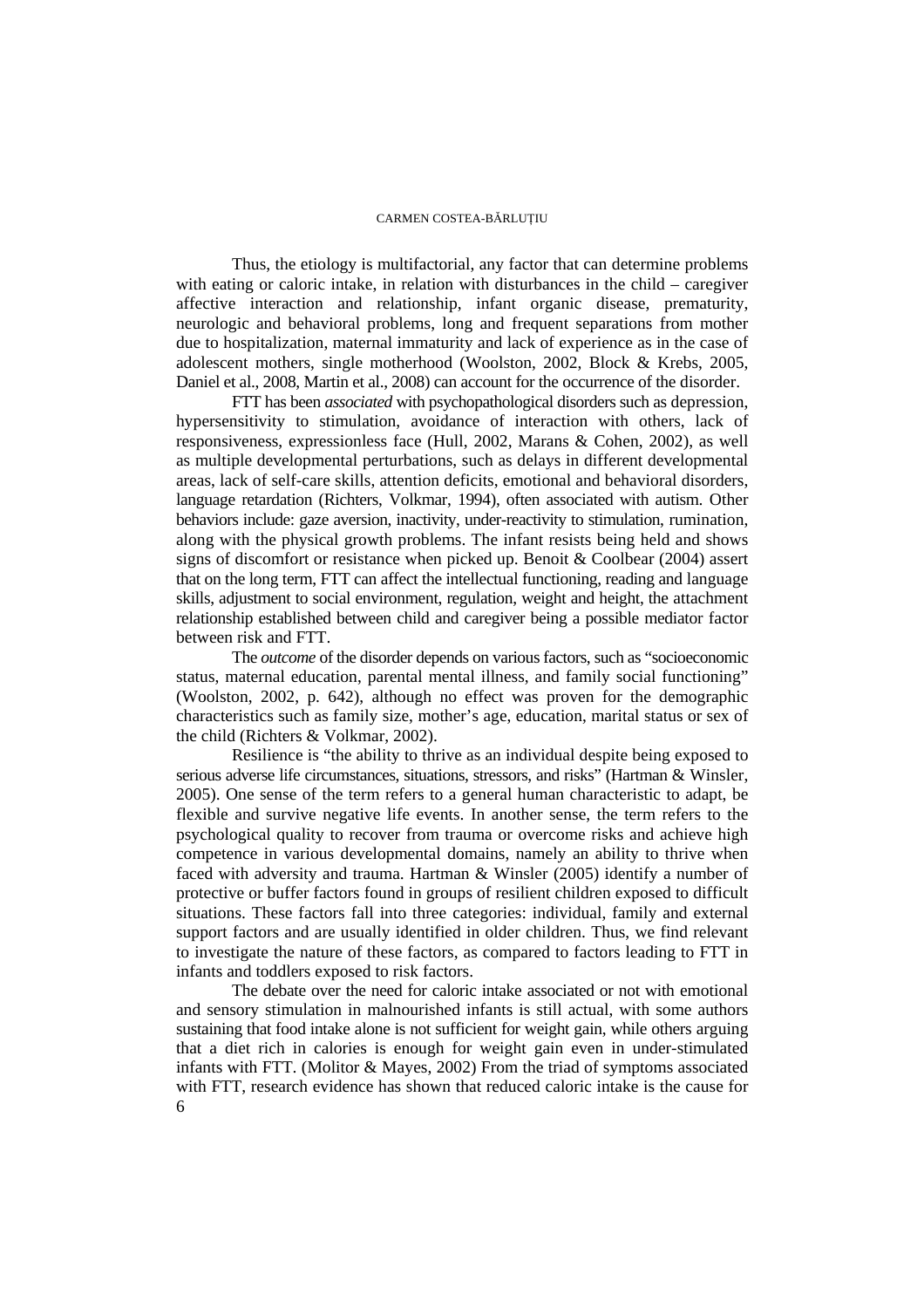Thus, the etiology is multifactorial, any factor that can determine problems with eating or caloric intake, in relation with disturbances in the child – caregiver affective interaction and relationship, infant organic disease, prematurity, neurologic and behavioral problems, long and frequent separations from mother due to hospitalization, maternal immaturity and lack of experience as in the case of adolescent mothers, single motherhood (Woolston, 2002, Block & Krebs, 2005, Daniel et al., 2008, Martin et al., 2008) can account for the occurrence of the disorder.

FTT has been *associated* with psychopathological disorders such as depression, hypersensitivity to stimulation, avoidance of interaction with others, lack of responsiveness, expressionless face (Hull, 2002, Marans & Cohen, 2002), as well as multiple developmental perturbations, such as delays in different developmental areas, lack of self-care skills, attention deficits, emotional and behavioral disorders, language retardation (Richters, Volkmar, 1994), often associated with autism. Other behaviors include: gaze aversion, inactivity, under-reactivity to stimulation, rumination, along with the physical growth problems. The infant resists being held and shows signs of discomfort or resistance when picked up. Benoit & Coolbear (2004) assert that on the long term, FTT can affect the intellectual functioning, reading and language skills, adjustment to social environment, regulation, weight and height, the attachment relationship established between child and caregiver being a possible mediator factor between risk and FTT.

The *outcome* of the disorder depends on various factors, such as "socioeconomic status, maternal education, parental mental illness, and family social functioning" (Woolston, 2002, p. 642), although no effect was proven for the demographic characteristics such as family size, mother's age, education, marital status or sex of the child (Richters & Volkmar, 2002).

Resilience is "the ability to thrive as an individual despite being exposed to serious adverse life circumstances, situations, stressors, and risks" (Hartman & Winsler, 2005). One sense of the term refers to a general human characteristic to adapt, be flexible and survive negative life events. In another sense, the term refers to the psychological quality to recover from trauma or overcome risks and achieve high competence in various developmental domains, namely an ability to thrive when faced with adversity and trauma. Hartman & Winsler (2005) identify a number of protective or buffer factors found in groups of resilient children exposed to difficult situations. These factors fall into three categories: individual, family and external support factors and are usually identified in older children. Thus, we find relevant to investigate the nature of these factors, as compared to factors leading to FTT in infants and toddlers exposed to risk factors.

6 The debate over the need for caloric intake associated or not with emotional and sensory stimulation in malnourished infants is still actual, with some authors sustaining that food intake alone is not sufficient for weight gain, while others arguing that a diet rich in calories is enough for weight gain even in under-stimulated infants with FTT. (Molitor & Mayes, 2002) From the triad of symptoms associated with FTT, research evidence has shown that reduced caloric intake is the cause for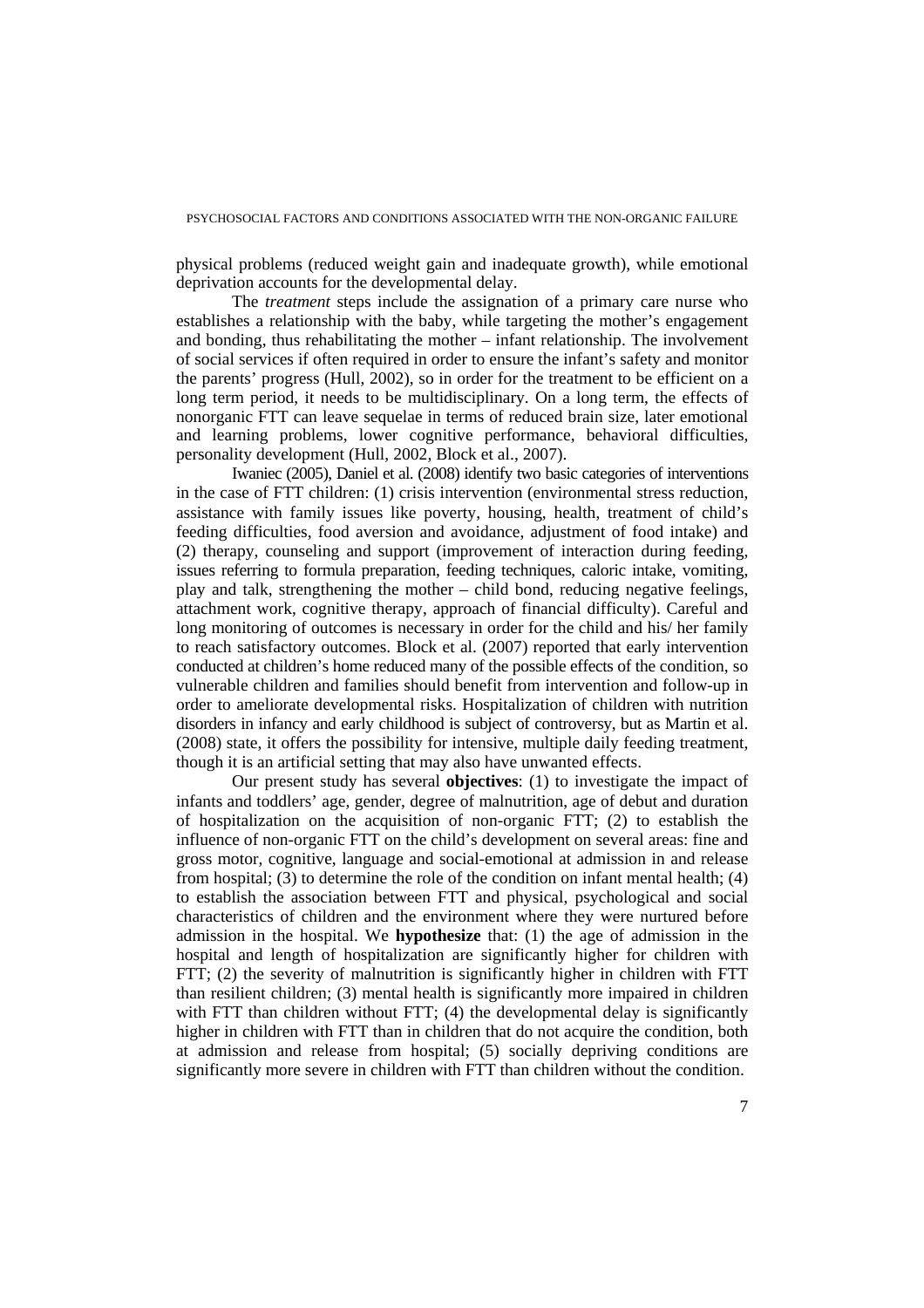physical problems (reduced weight gain and inadequate growth), while emotional deprivation accounts for the developmental delay.

The *treatment* steps include the assignation of a primary care nurse who establishes a relationship with the baby, while targeting the mother's engagement and bonding, thus rehabilitating the mother – infant relationship. The involvement of social services if often required in order to ensure the infant's safety and monitor the parents' progress (Hull, 2002), so in order for the treatment to be efficient on a long term period, it needs to be multidisciplinary. On a long term, the effects of nonorganic FTT can leave sequelae in terms of reduced brain size, later emotional and learning problems, lower cognitive performance, behavioral difficulties, personality development (Hull, 2002, Block et al., 2007).

Iwaniec (2005), Daniel et al. (2008) identify two basic categories of interventions in the case of FTT children: (1) crisis intervention (environmental stress reduction, assistance with family issues like poverty, housing, health, treatment of child's feeding difficulties, food aversion and avoidance, adjustment of food intake) and (2) therapy, counseling and support (improvement of interaction during feeding, issues referring to formula preparation, feeding techniques, caloric intake, vomiting, play and talk, strengthening the mother – child bond, reducing negative feelings, attachment work, cognitive therapy, approach of financial difficulty). Careful and long monitoring of outcomes is necessary in order for the child and his/ her family to reach satisfactory outcomes. Block et al. (2007) reported that early intervention conducted at children's home reduced many of the possible effects of the condition, so vulnerable children and families should benefit from intervention and follow-up in order to ameliorate developmental risks. Hospitalization of children with nutrition disorders in infancy and early childhood is subject of controversy, but as Martin et al. (2008) state, it offers the possibility for intensive, multiple daily feeding treatment, though it is an artificial setting that may also have unwanted effects.

Our present study has several **objectives**: (1) to investigate the impact of infants and toddlers' age, gender, degree of malnutrition, age of debut and duration of hospitalization on the acquisition of non-organic FTT; (2) to establish the influence of non-organic FTT on the child's development on several areas: fine and gross motor, cognitive, language and social-emotional at admission in and release from hospital; (3) to determine the role of the condition on infant mental health; (4) to establish the association between FTT and physical, psychological and social characteristics of children and the environment where they were nurtured before admission in the hospital. We **hypothesize** that: (1) the age of admission in the hospital and length of hospitalization are significantly higher for children with FTT; (2) the severity of malnutrition is significantly higher in children with FTT than resilient children; (3) mental health is significantly more impaired in children with FTT than children without FTT; (4) the developmental delay is significantly higher in children with FTT than in children that do not acquire the condition, both at admission and release from hospital; (5) socially depriving conditions are significantly more severe in children with FTT than children without the condition.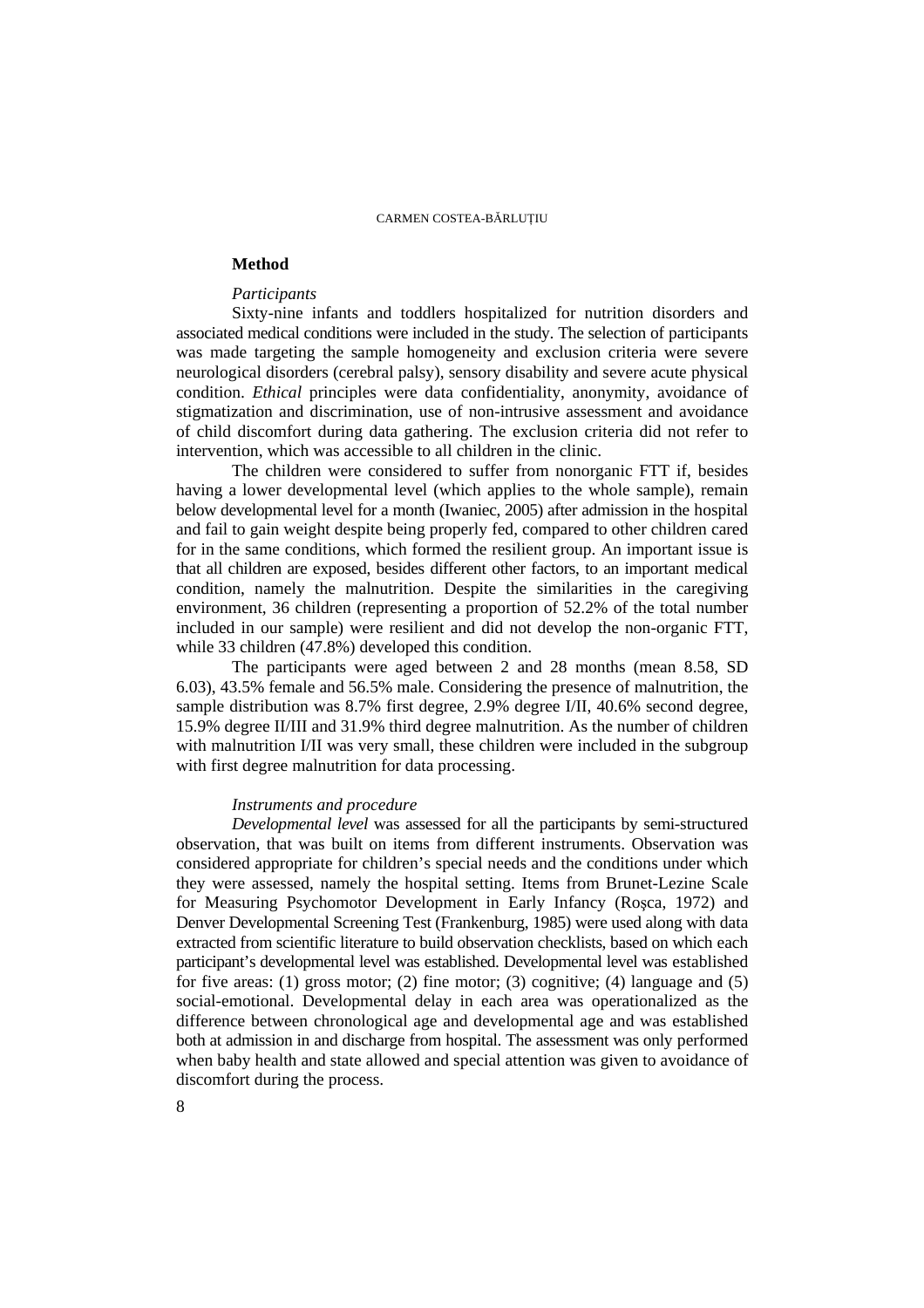# **Method**

# *Participants*

Sixty-nine infants and toddlers hospitalized for nutrition disorders and associated medical conditions were included in the study. The selection of participants was made targeting the sample homogeneity and exclusion criteria were severe neurological disorders (cerebral palsy), sensory disability and severe acute physical condition. *Ethical* principles were data confidentiality, anonymity, avoidance of stigmatization and discrimination, use of non-intrusive assessment and avoidance of child discomfort during data gathering. The exclusion criteria did not refer to intervention, which was accessible to all children in the clinic.

The children were considered to suffer from nonorganic FTT if, besides having a lower developmental level (which applies to the whole sample), remain below developmental level for a month (Iwaniec, 2005) after admission in the hospital and fail to gain weight despite being properly fed, compared to other children cared for in the same conditions, which formed the resilient group. An important issue is that all children are exposed, besides different other factors, to an important medical condition, namely the malnutrition. Despite the similarities in the caregiving environment, 36 children (representing a proportion of 52.2% of the total number included in our sample) were resilient and did not develop the non-organic FTT, while 33 children (47.8%) developed this condition.

The participants were aged between 2 and 28 months (mean 8.58, SD 6.03), 43.5% female and 56.5% male. Considering the presence of malnutrition, the sample distribution was 8.7% first degree, 2.9% degree I/II, 40.6% second degree, 15.9% degree II/III and 31.9% third degree malnutrition. As the number of children with malnutrition I/II was very small, these children were included in the subgroup with first degree malnutrition for data processing.

# *Instruments and procedure*

*Developmental level* was assessed for all the participants by semi-structured observation, that was built on items from different instruments. Observation was considered appropriate for children's special needs and the conditions under which they were assessed, namely the hospital setting. Items from Brunet-Lezine Scale for Measuring Psychomotor Development in Early Infancy (Roşca, 1972) and Denver Developmental Screening Test (Frankenburg, 1985) were used along with data extracted from scientific literature to build observation checklists, based on which each participant's developmental level was established. Developmental level was established for five areas: (1) gross motor; (2) fine motor; (3) cognitive; (4) language and (5) social-emotional. Developmental delay in each area was operationalized as the difference between chronological age and developmental age and was established both at admission in and discharge from hospital. The assessment was only performed when baby health and state allowed and special attention was given to avoidance of discomfort during the process.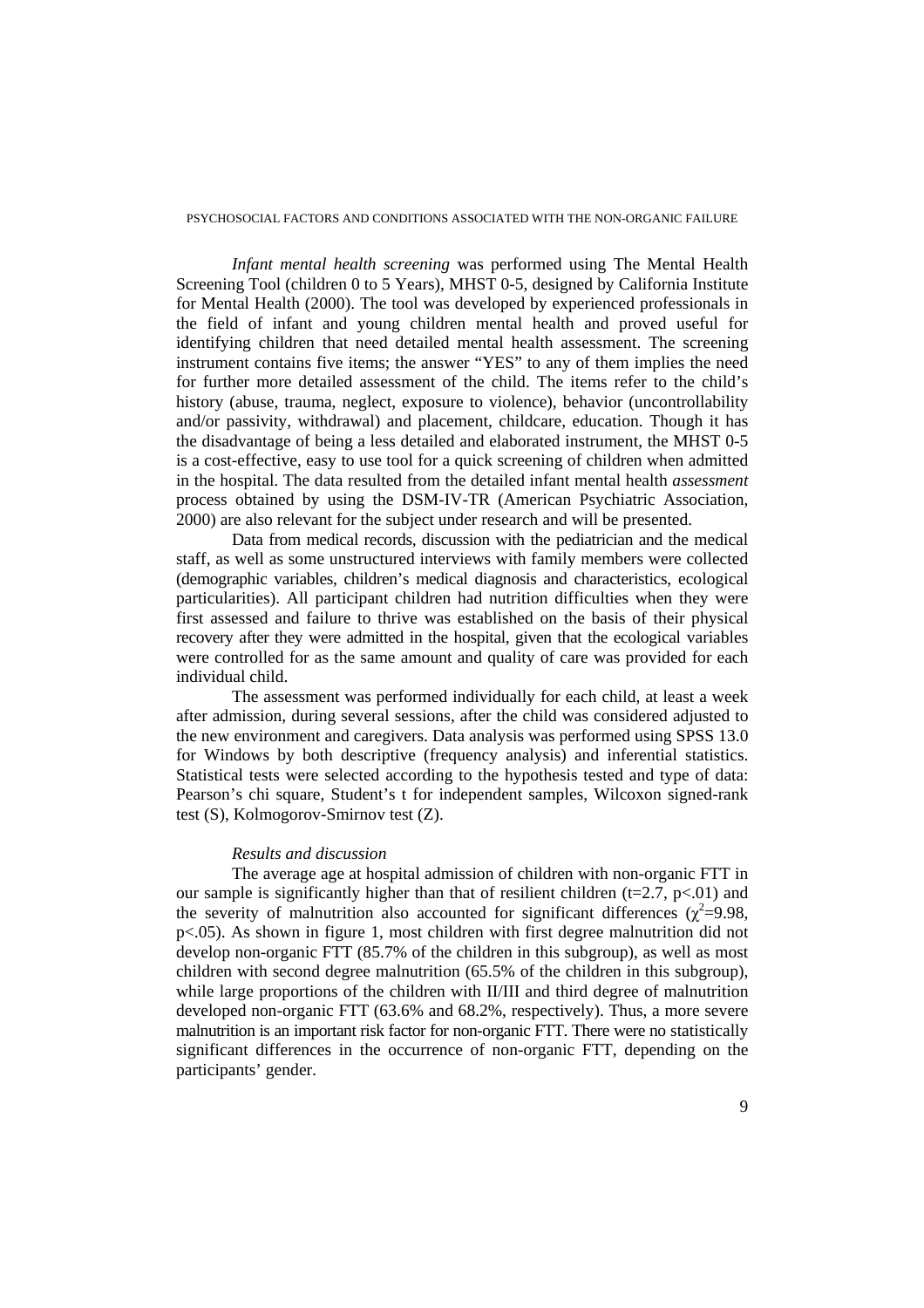*Infant mental health screening* was performed using The Mental Health Screening Tool (children 0 to 5 Years), MHST 0-5, designed by California Institute for Mental Health (2000). The tool was developed by experienced professionals in the field of infant and young children mental health and proved useful for identifying children that need detailed mental health assessment. The screening instrument contains five items; the answer "YES" to any of them implies the need for further more detailed assessment of the child. The items refer to the child's history (abuse, trauma, neglect, exposure to violence), behavior (uncontrollability and/or passivity, withdrawal) and placement, childcare, education. Though it has the disadvantage of being a less detailed and elaborated instrument, the MHST 0-5 is a cost-effective, easy to use tool for a quick screening of children when admitted in the hospital. The data resulted from the detailed infant mental health *assessment* process obtained by using the DSM-IV-TR (American Psychiatric Association, 2000) are also relevant for the subject under research and will be presented.

Data from medical records, discussion with the pediatrician and the medical staff, as well as some unstructured interviews with family members were collected (demographic variables, children's medical diagnosis and characteristics, ecological particularities). All participant children had nutrition difficulties when they were first assessed and failure to thrive was established on the basis of their physical recovery after they were admitted in the hospital, given that the ecological variables were controlled for as the same amount and quality of care was provided for each individual child.

The assessment was performed individually for each child, at least a week after admission, during several sessions, after the child was considered adjusted to the new environment and caregivers. Data analysis was performed using SPSS 13.0 for Windows by both descriptive (frequency analysis) and inferential statistics. Statistical tests were selected according to the hypothesis tested and type of data: Pearson's chi square, Student's t for independent samples, Wilcoxon signed-rank test (S), Kolmogorov-Smirnov test (Z).

#### *Results and discussion*

The average age at hospital admission of children with non-organic FTT in our sample is significantly higher than that of resilient children ( $t=2.7$ ,  $p<.01$ ) and the severity of malnutrition also accounted for significant differences  $(\chi^2=9.98,$ p<.05). As shown in figure 1, most children with first degree malnutrition did not develop non-organic FTT (85.7% of the children in this subgroup), as well as most children with second degree malnutrition (65.5% of the children in this subgroup), while large proportions of the children with II/III and third degree of malnutrition developed non-organic FTT (63.6% and 68.2%, respectively). Thus, a more severe malnutrition is an important risk factor for non-organic FTT. There were no statistically significant differences in the occurrence of non-organic FTT, depending on the participants' gender.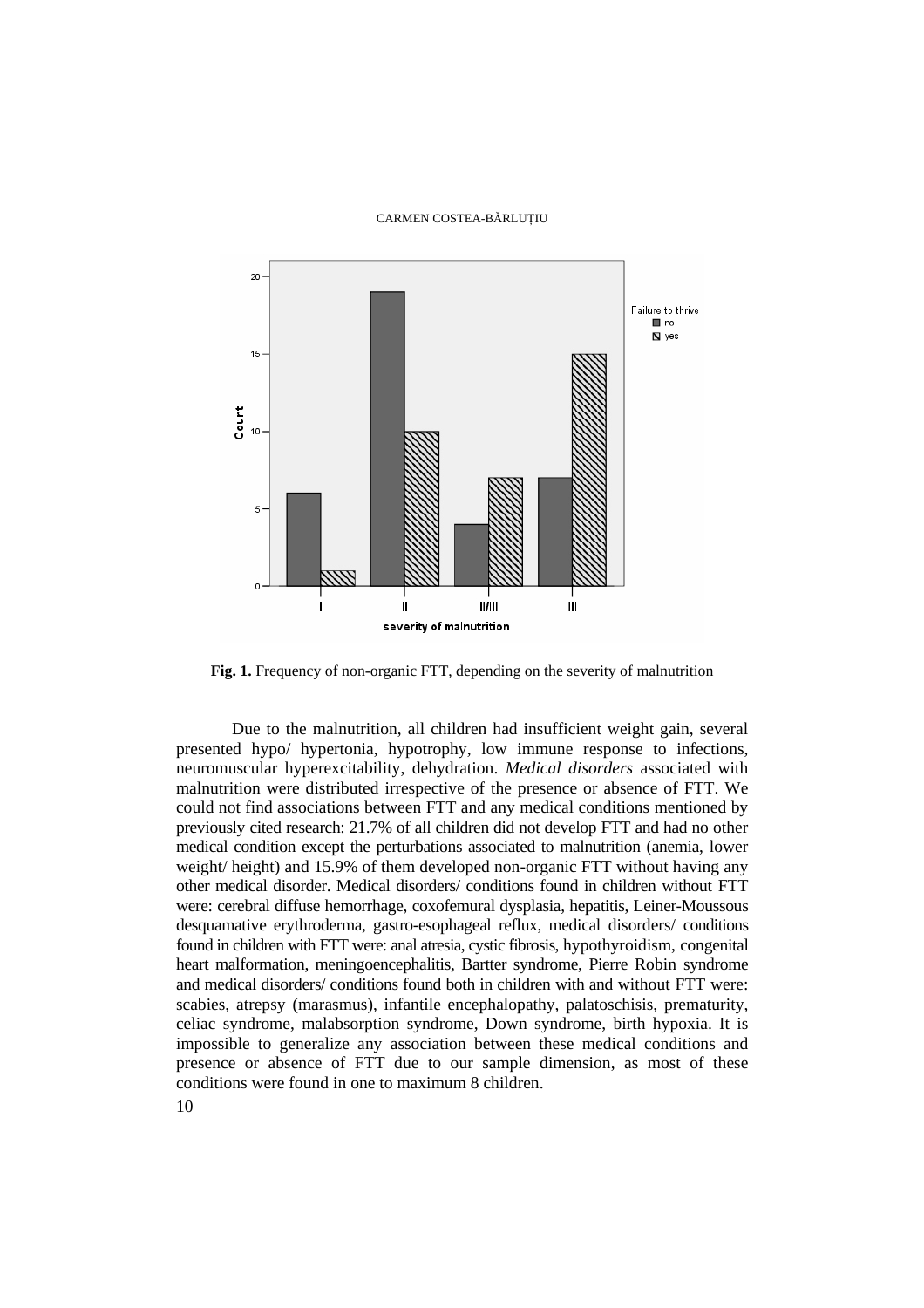

**Fig. 1.** Frequency of non-organic FTT, depending on the severity of malnutrition

Due to the malnutrition, all children had insufficient weight gain, several presented hypo/ hypertonia, hypotrophy, low immune response to infections, neuromuscular hyperexcitability, dehydration. *Medical disorders* associated with malnutrition were distributed irrespective of the presence or absence of FTT. We could not find associations between FTT and any medical conditions mentioned by previously cited research: 21.7% of all children did not develop FTT and had no other medical condition except the perturbations associated to malnutrition (anemia, lower weight/ height) and 15.9% of them developed non-organic FTT without having any other medical disorder. Medical disorders/ conditions found in children without FTT were: cerebral diffuse hemorrhage, coxofemural dysplasia, hepatitis, Leiner-Moussous desquamative erythroderma, gastro-esophageal reflux, medical disorders/ conditions found in children with FTT were: anal atresia, cystic fibrosis, hypothyroidism, congenital heart malformation, meningoencephalitis, Bartter syndrome, Pierre Robin syndrome and medical disorders/ conditions found both in children with and without FTT were: scabies, atrepsy (marasmus), infantile encephalopathy, palatoschisis, prematurity, celiac syndrome, malabsorption syndrome, Down syndrome, birth hypoxia. It is impossible to generalize any association between these medical conditions and presence or absence of FTT due to our sample dimension, as most of these conditions were found in one to maximum 8 children.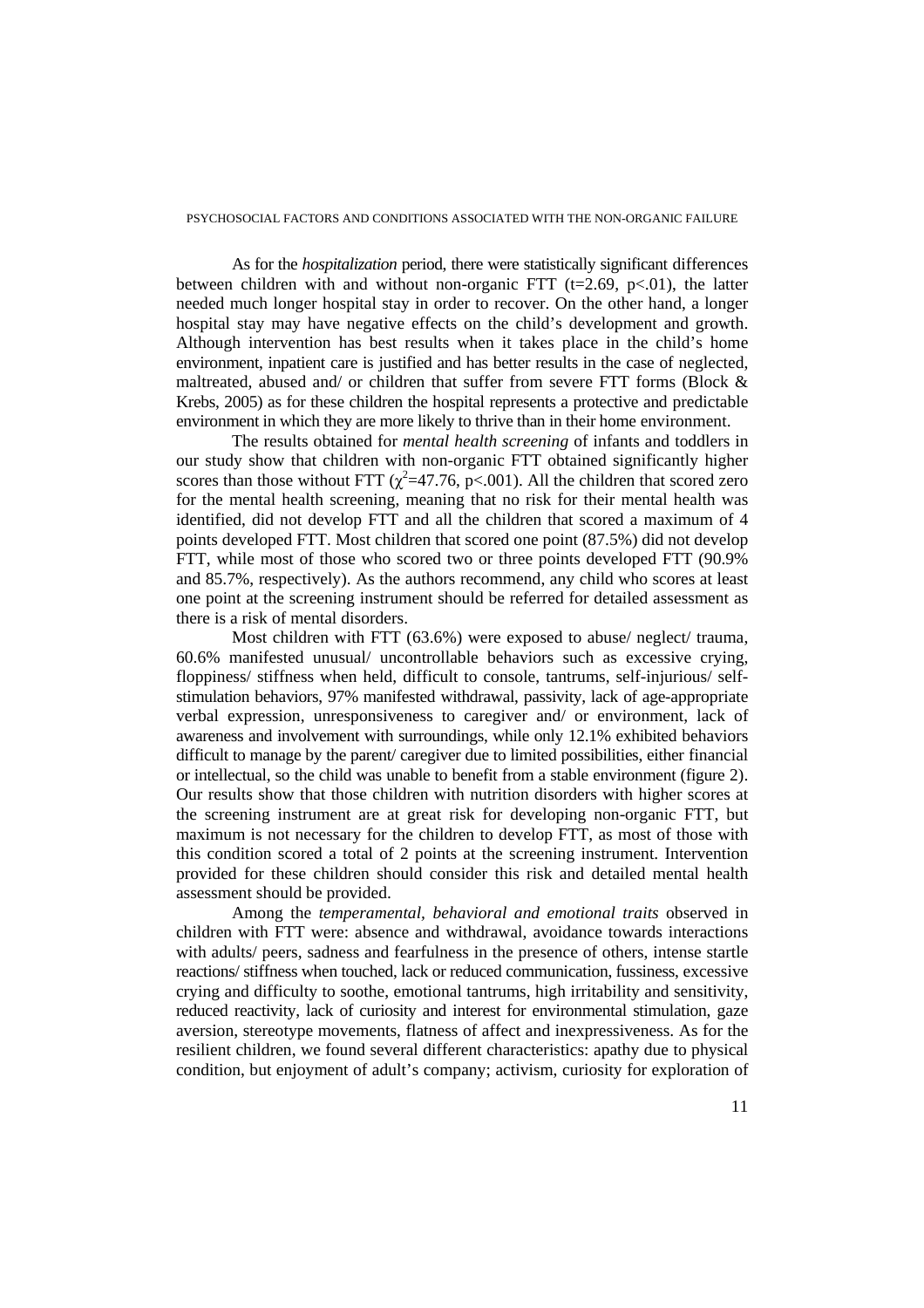As for the *hospitalization* period, there were statistically significant differences between children with and without non-organic FTT ( $t=2.69$ ,  $p<.01$ ), the latter needed much longer hospital stay in order to recover. On the other hand, a longer hospital stay may have negative effects on the child's development and growth. Although intervention has best results when it takes place in the child's home environment, inpatient care is justified and has better results in the case of neglected, maltreated, abused and/ or children that suffer from severe FTT forms (Block & Krebs, 2005) as for these children the hospital represents a protective and predictable environment in which they are more likely to thrive than in their home environment.

The results obtained for *mental health screening* of infants and toddlers in our study show that children with non-organic FTT obtained significantly higher scores than those without FTT  $(\chi^2=47.76, p<.001)$ . All the children that scored zero for the mental health screening, meaning that no risk for their mental health was identified, did not develop FTT and all the children that scored a maximum of 4 points developed FTT. Most children that scored one point (87.5%) did not develop FTT, while most of those who scored two or three points developed FTT (90.9% and 85.7%, respectively). As the authors recommend, any child who scores at least one point at the screening instrument should be referred for detailed assessment as there is a risk of mental disorders.

Most children with FTT (63.6%) were exposed to abuse/ neglect/ trauma, 60.6% manifested unusual/ uncontrollable behaviors such as excessive crying, floppiness/ stiffness when held, difficult to console, tantrums, self-injurious/ selfstimulation behaviors, 97% manifested withdrawal, passivity, lack of age-appropriate verbal expression, unresponsiveness to caregiver and/ or environment, lack of awareness and involvement with surroundings, while only 12.1% exhibited behaviors difficult to manage by the parent/ caregiver due to limited possibilities, either financial or intellectual, so the child was unable to benefit from a stable environment (figure 2). Our results show that those children with nutrition disorders with higher scores at the screening instrument are at great risk for developing non-organic FTT, but maximum is not necessary for the children to develop FTT, as most of those with this condition scored a total of 2 points at the screening instrument. Intervention provided for these children should consider this risk and detailed mental health assessment should be provided.

Among the *temperamental, behavioral and emotional traits* observed in children with FTT were: absence and withdrawal, avoidance towards interactions with adults/ peers, sadness and fearfulness in the presence of others, intense startle reactions/ stiffness when touched, lack or reduced communication, fussiness, excessive crying and difficulty to soothe, emotional tantrums, high irritability and sensitivity, reduced reactivity, lack of curiosity and interest for environmental stimulation, gaze aversion, stereotype movements, flatness of affect and inexpressiveness. As for the resilient children, we found several different characteristics: apathy due to physical condition, but enjoyment of adult's company; activism, curiosity for exploration of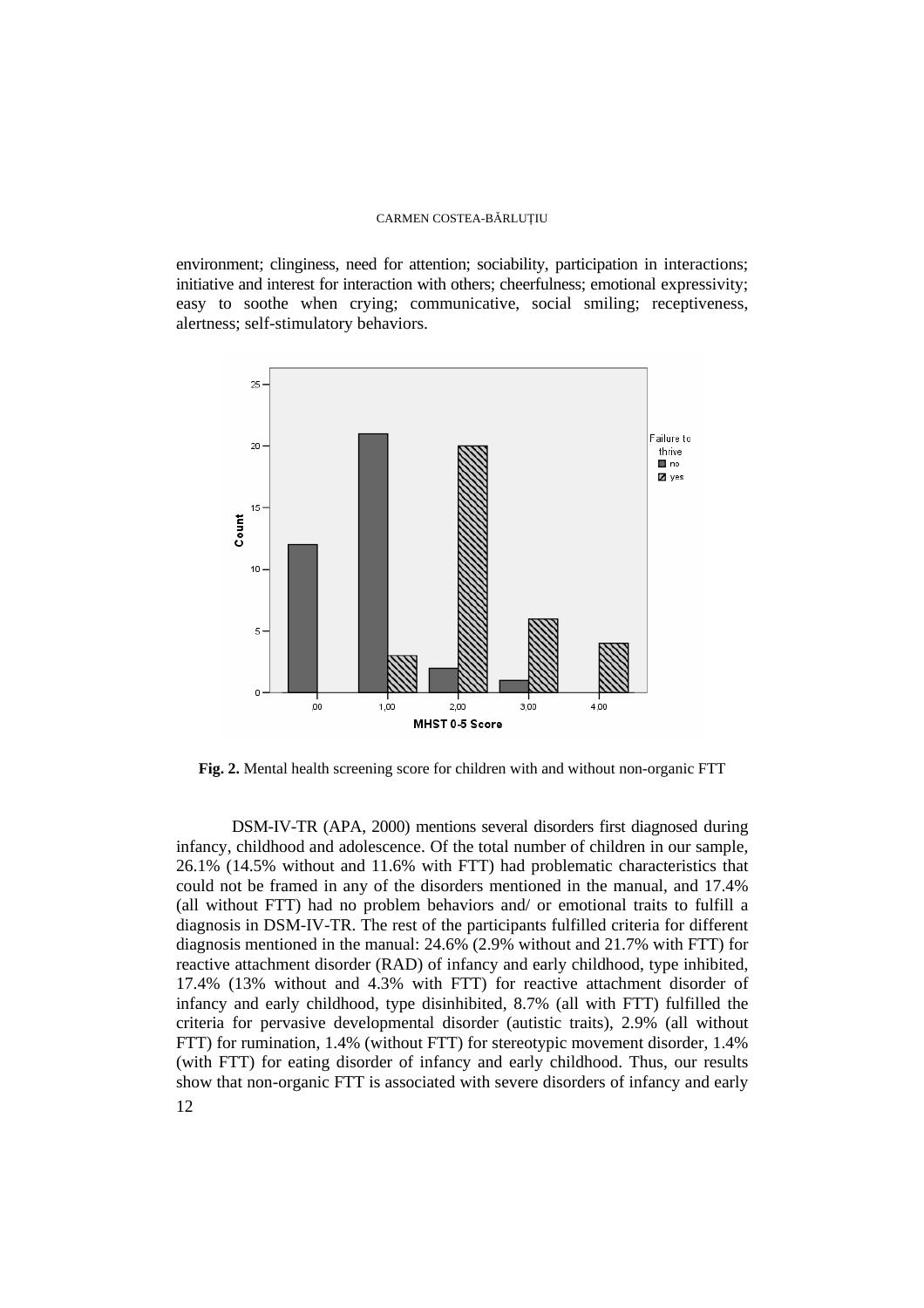environment; clinginess, need for attention; sociability, participation in interactions; initiative and interest for interaction with others; cheerfulness; emotional expressivity; easy to soothe when crying; communicative, social smiling; receptiveness, alertness; self-stimulatory behaviors.



**Fig. 2.** Mental health screening score for children with and without non-organic FTT

12 DSM-IV-TR (APA, 2000) mentions several disorders first diagnosed during infancy, childhood and adolescence. Of the total number of children in our sample, 26.1% (14.5% without and 11.6% with FTT) had problematic characteristics that could not be framed in any of the disorders mentioned in the manual, and 17.4% (all without FTT) had no problem behaviors and/ or emotional traits to fulfill a diagnosis in DSM-IV-TR. The rest of the participants fulfilled criteria for different diagnosis mentioned in the manual: 24.6% (2.9% without and 21.7% with FTT) for reactive attachment disorder (RAD) of infancy and early childhood, type inhibited, 17.4% (13% without and 4.3% with FTT) for reactive attachment disorder of infancy and early childhood, type disinhibited, 8.7% (all with FTT) fulfilled the criteria for pervasive developmental disorder (autistic traits), 2.9% (all without FTT) for rumination, 1.4% (without FTT) for stereotypic movement disorder, 1.4% (with FTT) for eating disorder of infancy and early childhood. Thus, our results show that non-organic FTT is associated with severe disorders of infancy and early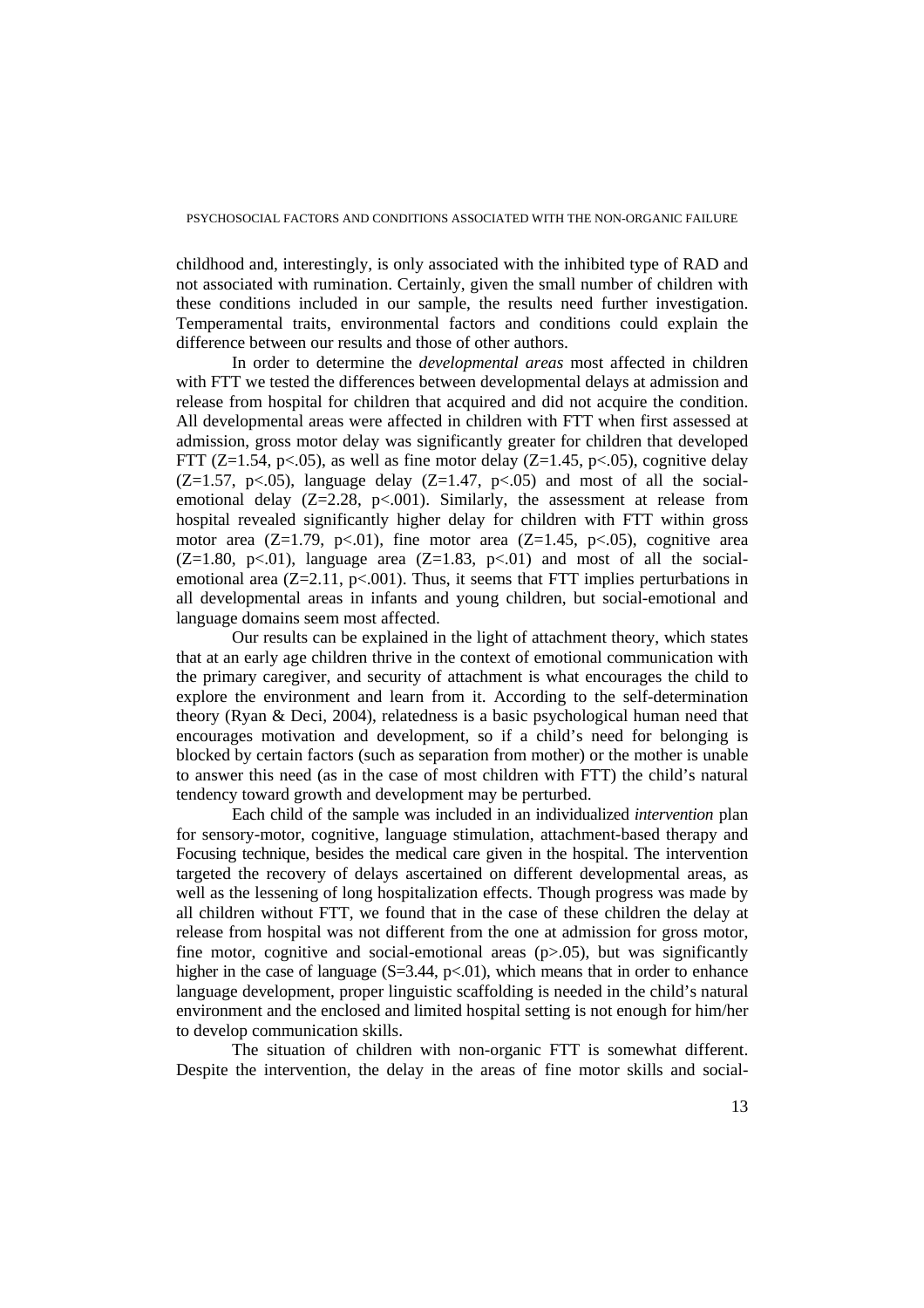childhood and, interestingly, is only associated with the inhibited type of RAD and not associated with rumination. Certainly, given the small number of children with these conditions included in our sample, the results need further investigation. Temperamental traits, environmental factors and conditions could explain the difference between our results and those of other authors.

In order to determine the *developmental areas* most affected in children with FTT we tested the differences between developmental delays at admission and release from hospital for children that acquired and did not acquire the condition. All developmental areas were affected in children with FTT when first assessed at admission, gross motor delay was significantly greater for children that developed FTT ( $Z=1.54$ ,  $p<.05$ ), as well as fine motor delay ( $Z=1.45$ ,  $p<.05$ ), cognitive delay  $(Z=1.57, p<0.05)$ , language delay  $(Z=1.47, p<0.05)$  and most of all the socialemotional delay  $(Z=2.28, p<.001)$ . Similarly, the assessment at release from hospital revealed significantly higher delay for children with FTT within gross motor area  $(Z=1.79, p<0.01)$ , fine motor area  $(Z=1.45, p<0.05)$ , cognitive area  $(Z=1.80, p\lt 0.01)$ , language area  $(Z=1.83, p\lt 0.01)$  and most of all the socialemotional area  $(Z=2.11, p<.001)$ . Thus, it seems that FTT implies perturbations in all developmental areas in infants and young children, but social-emotional and language domains seem most affected.

Our results can be explained in the light of attachment theory, which states that at an early age children thrive in the context of emotional communication with the primary caregiver, and security of attachment is what encourages the child to explore the environment and learn from it. According to the self-determination theory (Ryan & Deci, 2004), relatedness is a basic psychological human need that encourages motivation and development, so if a child's need for belonging is blocked by certain factors (such as separation from mother) or the mother is unable to answer this need (as in the case of most children with FTT) the child's natural tendency toward growth and development may be perturbed.

Each child of the sample was included in an individualized *intervention* plan for sensory-motor, cognitive, language stimulation, attachment-based therapy and Focusing technique, besides the medical care given in the hospital. The intervention targeted the recovery of delays ascertained on different developmental areas, as well as the lessening of long hospitalization effects. Though progress was made by all children without FTT, we found that in the case of these children the delay at release from hospital was not different from the one at admission for gross motor, fine motor, cognitive and social-emotional areas  $(p>0.05)$ , but was significantly higher in the case of language  $(S=3.44, p<0.01)$ , which means that in order to enhance language development, proper linguistic scaffolding is needed in the child's natural environment and the enclosed and limited hospital setting is not enough for him/her to develop communication skills.

The situation of children with non-organic FTT is somewhat different. Despite the intervention, the delay in the areas of fine motor skills and social-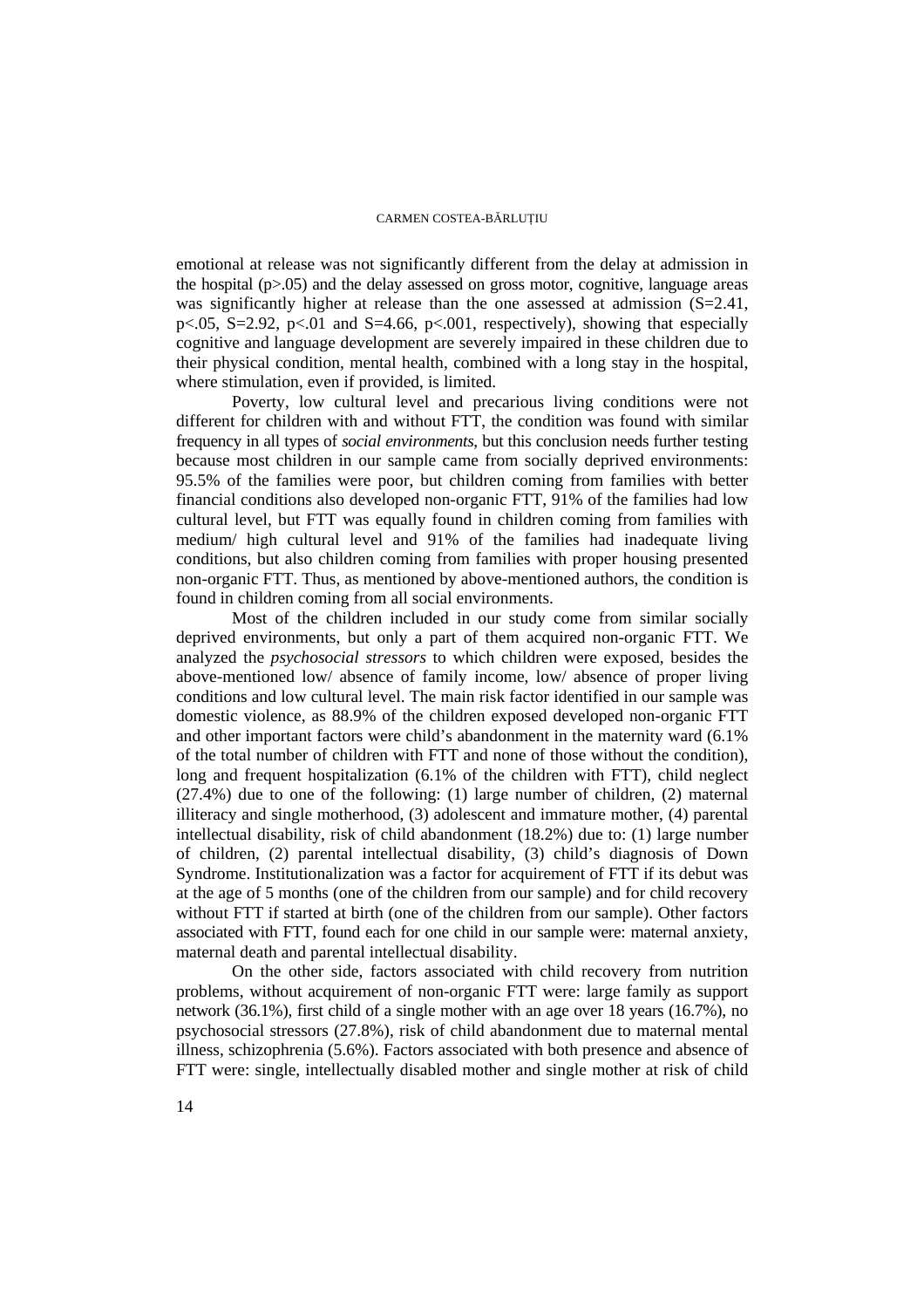emotional at release was not significantly different from the delay at admission in the hospital  $(p>0.05)$  and the delay assessed on gross motor, cognitive, language areas was significantly higher at release than the one assessed at admission (S=2.41, p $< .05$ , S=2.92, p $< .01$  and S=4.66, p $< .001$ , respectively), showing that especially cognitive and language development are severely impaired in these children due to their physical condition, mental health, combined with a long stay in the hospital, where stimulation, even if provided, is limited.

Poverty, low cultural level and precarious living conditions were not different for children with and without FTT, the condition was found with similar frequency in all types of *social environments*, but this conclusion needs further testing because most children in our sample came from socially deprived environments: 95.5% of the families were poor, but children coming from families with better financial conditions also developed non-organic FTT, 91% of the families had low cultural level, but FTT was equally found in children coming from families with medium/ high cultural level and 91% of the families had inadequate living conditions, but also children coming from families with proper housing presented non-organic FTT. Thus, as mentioned by above-mentioned authors, the condition is found in children coming from all social environments.

Most of the children included in our study come from similar socially deprived environments, but only a part of them acquired non-organic FTT. We analyzed the *psychosocial stressors* to which children were exposed, besides the above-mentioned low/ absence of family income, low/ absence of proper living conditions and low cultural level. The main risk factor identified in our sample was domestic violence, as 88.9% of the children exposed developed non-organic FTT and other important factors were child's abandonment in the maternity ward (6.1% of the total number of children with FTT and none of those without the condition), long and frequent hospitalization (6.1% of the children with FTT), child neglect (27.4%) due to one of the following: (1) large number of children, (2) maternal illiteracy and single motherhood, (3) adolescent and immature mother, (4) parental intellectual disability, risk of child abandonment (18.2%) due to: (1) large number of children, (2) parental intellectual disability, (3) child's diagnosis of Down Syndrome. Institutionalization was a factor for acquirement of FTT if its debut was at the age of 5 months (one of the children from our sample) and for child recovery without FTT if started at birth (one of the children from our sample). Other factors associated with FTT, found each for one child in our sample were: maternal anxiety, maternal death and parental intellectual disability.

On the other side, factors associated with child recovery from nutrition problems, without acquirement of non-organic FTT were: large family as support network (36.1%), first child of a single mother with an age over 18 years (16.7%), no psychosocial stressors (27.8%), risk of child abandonment due to maternal mental illness, schizophrenia (5.6%). Factors associated with both presence and absence of FTT were: single, intellectually disabled mother and single mother at risk of child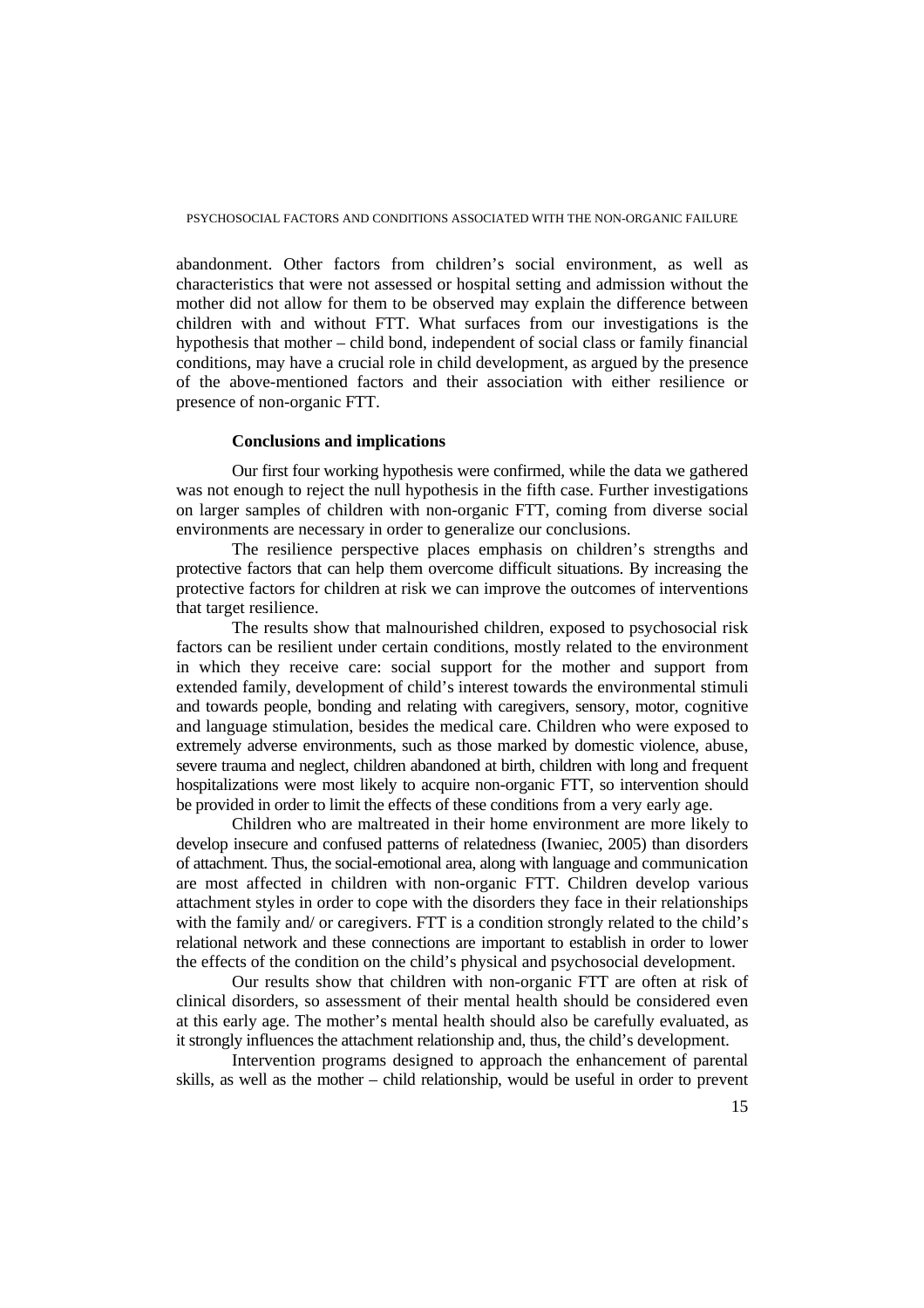abandonment. Other factors from children's social environment, as well as characteristics that were not assessed or hospital setting and admission without the mother did not allow for them to be observed may explain the difference between children with and without FTT. What surfaces from our investigations is the hypothesis that mother – child bond, independent of social class or family financial conditions, may have a crucial role in child development, as argued by the presence of the above-mentioned factors and their association with either resilience or presence of non-organic FTT.

# **Conclusions and implications**

Our first four working hypothesis were confirmed, while the data we gathered was not enough to reject the null hypothesis in the fifth case. Further investigations on larger samples of children with non-organic FTT, coming from diverse social environments are necessary in order to generalize our conclusions.

The resilience perspective places emphasis on children's strengths and protective factors that can help them overcome difficult situations. By increasing the protective factors for children at risk we can improve the outcomes of interventions that target resilience.

The results show that malnourished children, exposed to psychosocial risk factors can be resilient under certain conditions, mostly related to the environment in which they receive care: social support for the mother and support from extended family, development of child's interest towards the environmental stimuli and towards people, bonding and relating with caregivers, sensory, motor, cognitive and language stimulation, besides the medical care. Children who were exposed to extremely adverse environments, such as those marked by domestic violence, abuse, severe trauma and neglect, children abandoned at birth, children with long and frequent hospitalizations were most likely to acquire non-organic FTT, so intervention should be provided in order to limit the effects of these conditions from a very early age.

Children who are maltreated in their home environment are more likely to develop insecure and confused patterns of relatedness (Iwaniec, 2005) than disorders of attachment. Thus, the social-emotional area, along with language and communication are most affected in children with non-organic FTT. Children develop various attachment styles in order to cope with the disorders they face in their relationships with the family and/ or caregivers. FTT is a condition strongly related to the child's relational network and these connections are important to establish in order to lower the effects of the condition on the child's physical and psychosocial development.

Our results show that children with non-organic FTT are often at risk of clinical disorders, so assessment of their mental health should be considered even at this early age. The mother's mental health should also be carefully evaluated, as it strongly influences the attachment relationship and, thus, the child's development.

Intervention programs designed to approach the enhancement of parental skills, as well as the mother – child relationship, would be useful in order to prevent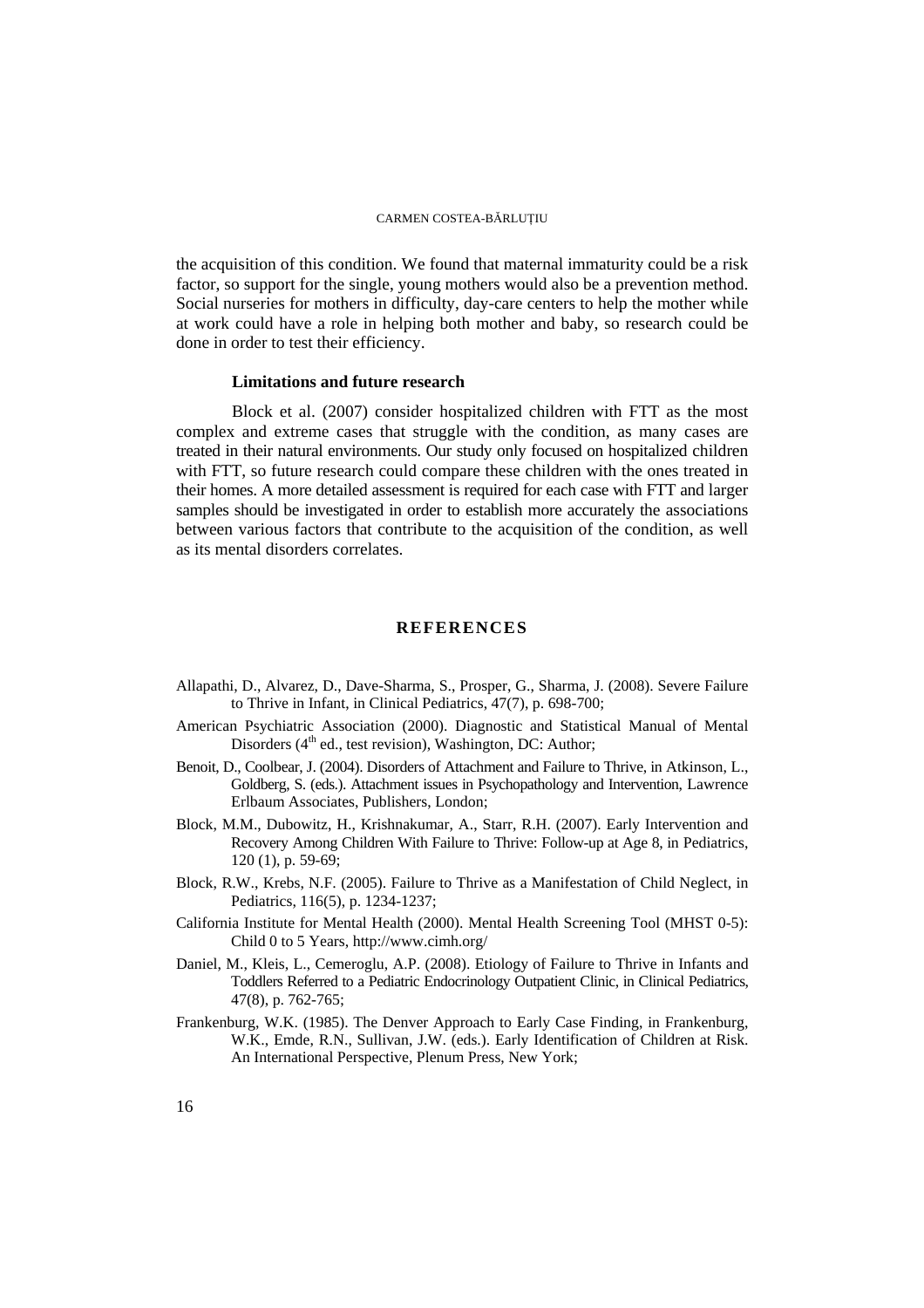the acquisition of this condition. We found that maternal immaturity could be a risk factor, so support for the single, young mothers would also be a prevention method. Social nurseries for mothers in difficulty, day-care centers to help the mother while at work could have a role in helping both mother and baby, so research could be done in order to test their efficiency.

## **Limitations and future research**

Block et al. (2007) consider hospitalized children with FTT as the most complex and extreme cases that struggle with the condition, as many cases are treated in their natural environments. Our study only focused on hospitalized children with FTT, so future research could compare these children with the ones treated in their homes. A more detailed assessment is required for each case with FTT and larger samples should be investigated in order to establish more accurately the associations between various factors that contribute to the acquisition of the condition, as well as its mental disorders correlates.

# **REFERENCES**

- Allapathi, D., Alvarez, D., Dave-Sharma, S., Prosper, G., Sharma, J. (2008). Severe Failure to Thrive in Infant, in Clinical Pediatrics, 47(7), p. 698-700;
- American Psychiatric Association (2000). Diagnostic and Statistical Manual of Mental Disorders  $(4<sup>th</sup>$  ed., test revision), Washington, DC: Author;
- Benoit, D., Coolbear, J. (2004). Disorders of Attachment and Failure to Thrive, in Atkinson, L., Goldberg, S. (eds.). Attachment issues in Psychopathology and Intervention, Lawrence Erlbaum Associates, Publishers, London;
- Block, M.M., Dubowitz, H., Krishnakumar, A., Starr, R.H. (2007). Early Intervention and Recovery Among Children With Failure to Thrive: Follow-up at Age 8, in Pediatrics, 120 (1), p. 59-69;
- Block, R.W., Krebs, N.F. (2005). Failure to Thrive as a Manifestation of Child Neglect, in Pediatrics, 116(5), p. 1234-1237;
- California Institute for Mental Health (2000). Mental Health Screening Tool (MHST 0-5): Child 0 to 5 Years, http://www.cimh.org/
- Daniel, M., Kleis, L., Cemeroglu, A.P. (2008). Etiology of Failure to Thrive in Infants and Toddlers Referred to a Pediatric Endocrinology Outpatient Clinic, in Clinical Pediatrics, 47(8), p. 762-765;
- Frankenburg, W.K. (1985). The Denver Approach to Early Case Finding, in Frankenburg, W.K., Emde, R.N., Sullivan, J.W. (eds.). Early Identification of Children at Risk. An International Perspective, Plenum Press, New York;